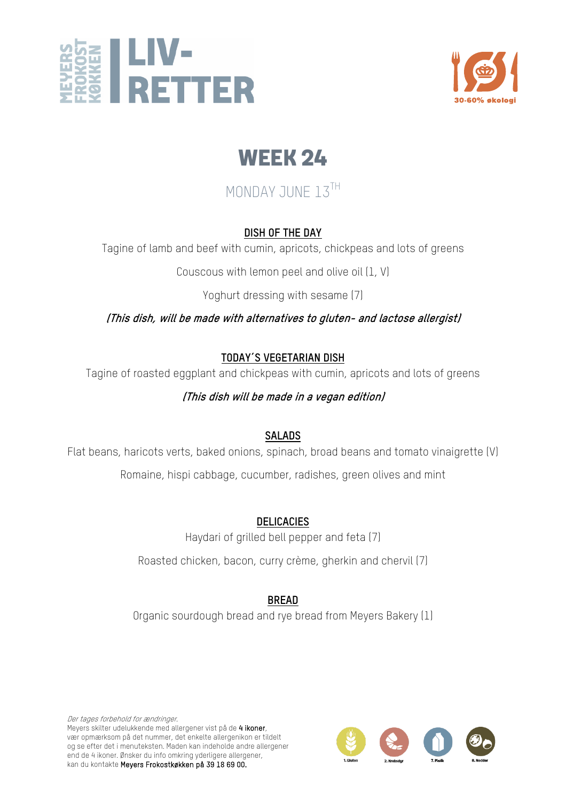



## MONDAY JUNE 13TH

#### **DISH OF THE DAY**

Tagine of lamb and beef with cumin, apricots, chickpeas and lots of greens

Couscous with lemon peel and olive oil (1, V)

Yoghurt dressing with sesame (7)

**(This dish, will be made with alternatives to gluten- and lactose allergist)**

#### **TODAY´S VEGETARIAN DISH**

Tagine of roasted eggplant and chickpeas with cumin, apricots and lots of greens

#### **(This dish will be made in a vegan edition)**

#### **SALADS**

Flat beans, haricots verts, baked onions, spinach, broad beans and tomato vinaigrette (V) Romaine, hispi cabbage, cucumber, radishes, green olives and mint

#### **DELICACIES**

Haydari of grilled bell pepper and feta (7)

Roasted chicken, bacon, curry crème, gherkin and chervil (7)

#### **BREAD**

Organic sourdough bread and rye bread from Meyers Bakery (1)

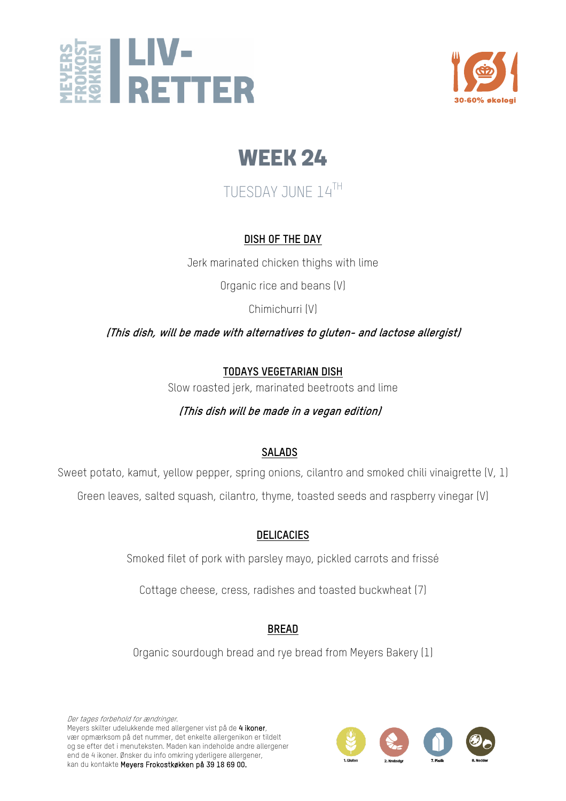



TUESDAY JUNE 14TH

#### **DISH OF THE DAY**

Jerk marinated chicken thighs with lime

Organic rice and beans (V)

Chimichurri (V)

**(This dish, will be made with alternatives to gluten- and lactose allergist)**

**TODAYS VEGETARIAN DISH**

Slow roasted jerk, marinated beetroots and lime

#### **(This dish will be made in a vegan edition)**

#### **SALADS**

Sweet potato, kamut, yellow pepper, spring onions, cilantro and smoked chili vinaigrette (V, 1)

Green leaves, salted squash, cilantro, thyme, toasted seeds and raspberry vinegar (V)

#### **DELICACIES**

Smoked filet of pork with parsley mayo, pickled carrots and frissé

Cottage cheese, cress, radishes and toasted buckwheat (7)

#### **BREAD**

Organic sourdough bread and rye bread from Meyers Bakery (1)

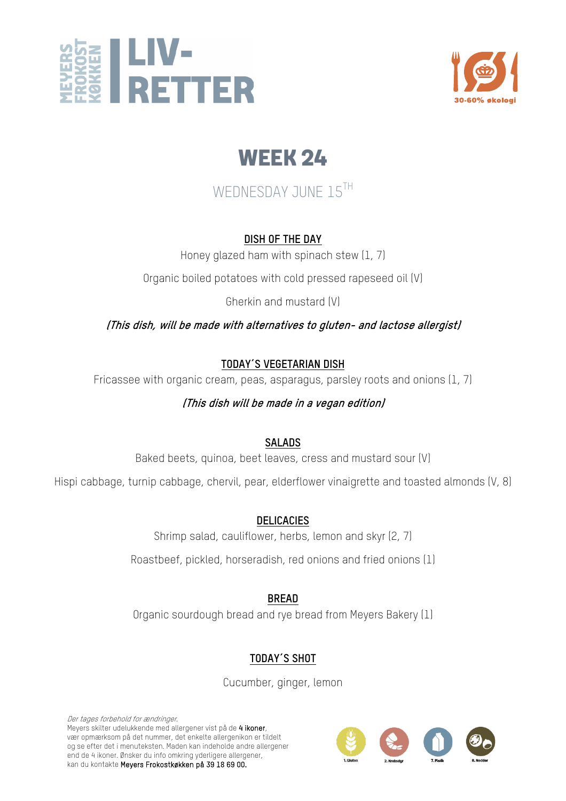



## WEDNESDAY JUNE 15<sup>TH</sup>

#### **DISH OF THE DAY**

Honey glazed ham with spinach stew (1, 7)

Organic boiled potatoes with cold pressed rapeseed oil (V)

Gherkin and mustard (V)

**(This dish, will be made with alternatives to gluten- and lactose allergist)**

#### **TODAY´S VEGETARIAN DISH**

Fricassee with organic cream, peas, asparagus, parsley roots and onions (1, 7)

#### **(This dish will be made in a vegan edition)**

#### **SALADS**

Baked beets, quinoa, beet leaves, cress and mustard sour (V)

Hispi cabbage, turnip cabbage, chervil, pear, elderflower vinaigrette and toasted almonds (V, 8)

### **DELICACIES**

Shrimp salad, cauliflower, herbs, lemon and skyr (2, 7) Roastbeef, pickled, horseradish, red onions and fried onions (1)

#### **BREAD**

Organic sourdough bread and rye bread from Meyers Bakery (1)

### **TODAY´S SHOT**

Cucumber, ginger, lemon

Der tages forbehold for ændringer. Meyers skilter udelukkende med allergener vist på de 4 ikoner, vær opmærksom på det nummer, det enkelte allergenikon er tildelt og se efter det i menuteksten. Maden kan indeholde andre allergener end de 4 ikoner. Ønsker du info omkring yderligere allergener, kan du kontakte Meyers Frokostkøkken på 39 18 69 00.

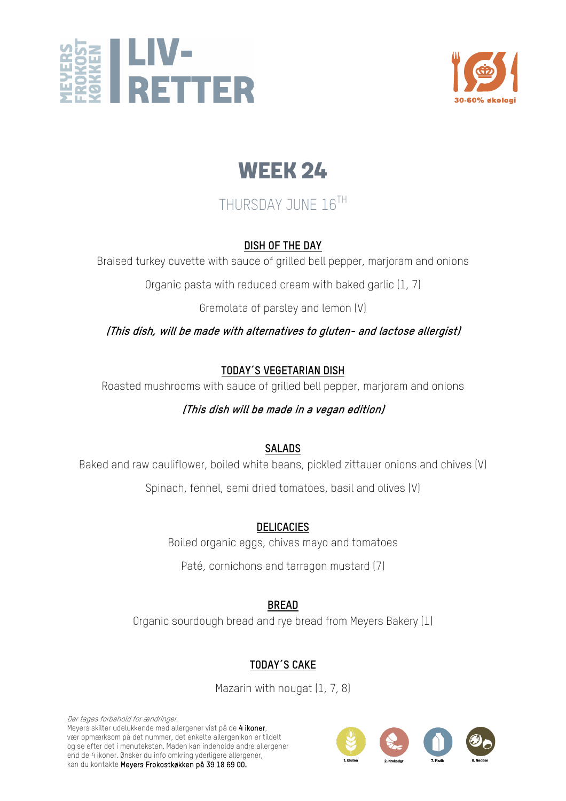



## THURSDAY JUNF 16<sup>TH</sup>

**DISH OF THE DAY**

Braised turkey cuvette with sauce of grilled bell pepper, marjoram and onions

Organic pasta with reduced cream with baked garlic (1, 7)

Gremolata of parsley and lemon (V)

**(This dish, will be made with alternatives to gluten- and lactose allergist)**

#### **TODAY´S VEGETARIAN DISH**

Roasted mushrooms with sauce of grilled bell pepper, marjoram and onions

#### **(This dish will be made in a vegan edition)**

#### **SALADS**

Baked and raw cauliflower, boiled white beans, pickled zittauer onions and chives (V)

Spinach, fennel, semi dried tomatoes, basil and olives (V)

**DELICACIES**

Boiled organic eggs, chives mayo and tomatoes

Paté, cornichons and tarragon mustard (7)

**BREAD**

Organic sourdough bread and rye bread from Meyers Bakery (1)

### **TODAY´S CAKE**

Mazarin with nougat (1, 7, 8)

Der tages forbehold for ændringer. Meyers skilter udelukkende med allergener vist på de 4 ikoner, vær opmærksom på det nummer, det enkelte allergenikon er tildelt og se efter det i menuteksten. Maden kan indeholde andre allergener end de 4 ikoner. Ønsker du info omkring yderligere allergener, kan du kontakte Meyers Frokostkøkken på 39 18 69 00.